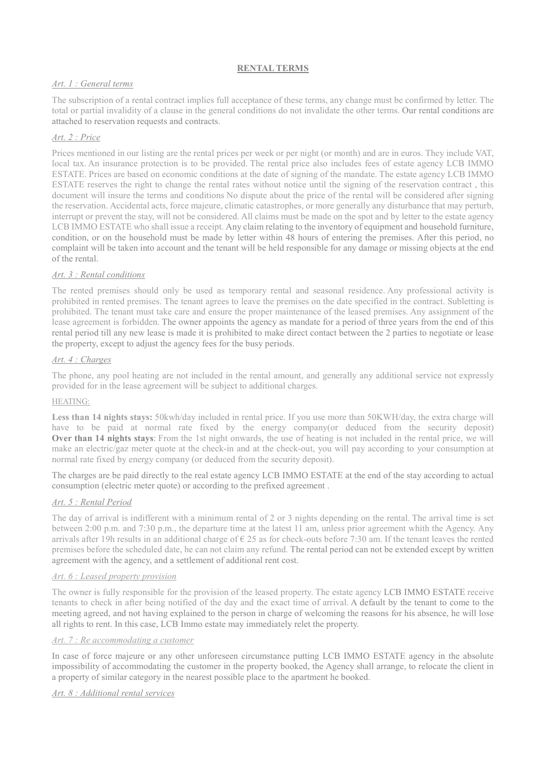# RENTAL TERMS

# Art. 1 : General terms

The subscription of a rental contract implies full acceptance of these terms, any change must be confirmed by letter. The total or partial invalidity of a clause in the general conditions do not invalidate the other terms. Our rental conditions are attached to reservation requests and contracts.

# Art. 2 : Price

Prices mentioned in our listing are the rental prices per week or per night (or month) and are in euros. They include VAT, local tax. An insurance protection is to be provided. The rental price also includes fees of estate agency LCB IMMO ESTATE. Prices are based on economic conditions at the date of signing of the mandate. The estate agency LCB IMMO ESTATE reserves the right to change the rental rates without notice until the signing of the reservation contract , this document will insure the terms and conditions No dispute about the price of the rental will be considered after signing the reservation. Accidental acts, force majeure, climatic catastrophes, or more generally any disturbance that may perturb, interrupt or prevent the stay, will not be considered. All claims must be made on the spot and by letter to the estate agency LCB IMMO ESTATE who shall issue a receipt. Any claim relating to the inventory of equipment and household furniture, condition, or on the household must be made by letter within 48 hours of entering the premises. After this period, no complaint will be taken into account and the tenant will be held responsible for any damage or missing objects at the end of the rental.

# Art. 3 : Rental conditions

The rented premises should only be used as temporary rental and seasonal residence. Any professional activity is prohibited in rented premises. The tenant agrees to leave the premises on the date specified in the contract. Subletting is prohibited. The tenant must take care and ensure the proper maintenance of the leased premises. Any assignment of the lease agreement is forbidden. The owner appoints the agency as mandate for a period of three years from the end of this rental period till any new lease is made it is prohibited to make direct contact between the 2 parties to negotiate or lease the property, except to adjust the agency fees for the busy periods.

# Art. 4 : Charges

The phone, any pool heating are not included in the rental amount, and generally any additional service not expressly provided for in the lease agreement will be subject to additional charges.

# HEATING:

Less than 14 nights stays: 50kwh/day included in rental price. If you use more than 50KWH/day, the extra charge will have to be paid at normal rate fixed by the energy company(or deduced from the security deposit) Over than 14 nights stays: From the 1st night onwards, the use of heating is not included in the rental price, we will make an electric/gaz meter quote at the check-in and at the check-out, you will pay according to your consumption at normal rate fixed by energy company (or deduced from the security deposit).

The charges are be paid directly to the real estate agency LCB IMMO ESTATE at the end of the stay according to actual consumption (electric meter quote) or according to the prefixed agreement .

# Art. 5 : Rental Period

The day of arrival is indifferent with a minimum rental of 2 or 3 nights depending on the rental. The arrival time is set between 2:00 p.m. and 7:30 p.m., the departure time at the latest 11 am, unless prior agreement whith the Agency. Any arrivals after 19h results in an additional charge of  $\epsilon$  25 as for check-outs before 7:30 am. If the tenant leaves the rented premises before the scheduled date, he can not claim any refund. The rental period can not be extended except by written agreement with the agency, and a settlement of additional rent cost.

# Art. 6 : Leased property provision

The owner is fully responsible for the provision of the leased property. The estate agency LCB IMMO ESTATE receive tenants to check in after being notified of the day and the exact time of arrival. A default by the tenant to come to the meeting agreed, and not having explained to the person in charge of welcoming the reasons for his absence, he will lose all rights to rent. In this case, LCB Immo estate may immediately relet the property.

# Art. 7 : Re accommodating a customer

In case of force majeure or any other unforeseen circumstance putting LCB IMMO ESTATE agency in the absolute impossibility of accommodating the customer in the property booked, the Agency shall arrange, to relocate the client in a property of similar category in the nearest possible place to the apartment he booked.

# Art. 8 : Additional rental services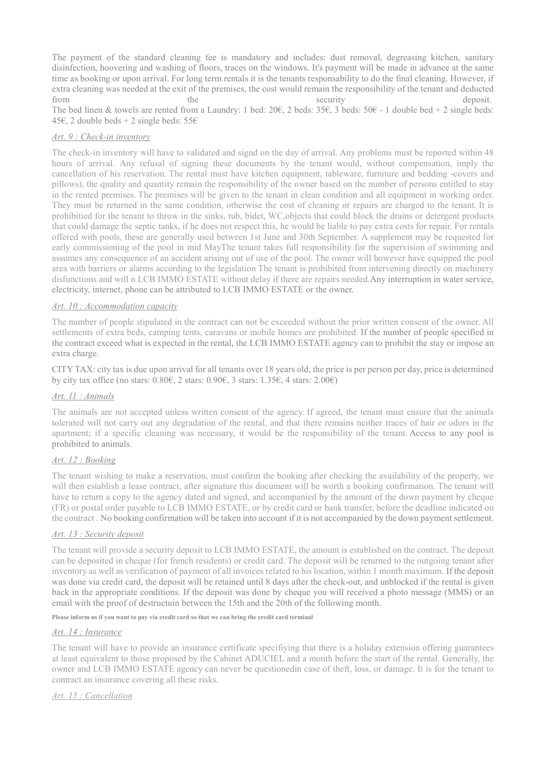The payment of the standard cleaning fee is mandatory and includes: dust removal, degreasing kitchen, sanitary disinfection, hoovering and washing of floors, traces on the windows. It's payment will be made in advance at the same time as booking or upon arrival. For long term rentals it is the tenants responsability to do the final cleaning. However, if extra cleaning was needed at the exit of the premises, the cost would remain the responsibility of the tenant and deducted from the security security deposit. The bed linen & towels are rented from a Laundry: 1 bed:  $20 \epsilon$ , 2 beds:  $35 \epsilon$ , 3 beds:  $50 \epsilon$  - 1 double bed + 2 single beds: 45€, 2 double beds + 2 single beds:  $55€$ 

### Art. 9 : Check-in inventory

The check-in inventory will have to validated and signd on the day of arrival. Any problems must be reported within 48 hours of arrival. Any refusal of signing these documents by the tenant would, without compensation, imply the cancellation of his reservation. The rental must have kitchen equipment, tableware, furniture and bedding -covers and pillows), the quality and quantity remain the responsibility of the owner based on the number of persons entitled to stay in the rented premises. The premises will be given to the tenant in clean condition and all equipment in working order. They must be returned in the same condition, otherwise the cost of cleaning or repairs are charged to the tenant. It is prohibitied for the tenant to throw in the sinks, tub, bidet, WC,objects that could block the drains or detergent products that could damage the septic tanks, if he does not respect this, he would be liable to pay extra costs for repair. For rentals offered with pools, these are generally used between 1st June and 30th September. A supplement may be requested for early commissioning of the pool in mid MayThe tenant takes full responsibility for the supervision of swimming and assumes any consequence of an accident arising out of use of the pool. The owner will however have equipped the pool area with barriers or alarms according to the legislation The tenant is prohibited from intervening directly on machinery disfunctions and will n LCB IMMO ESTATE without delay if there are repairs needed.Any interruption in water service, electricity, internet, phone can be attributed to LCB IMMO ESTATE or the owner.

### Art. 10 : Accommodation capacity

The number of people stipulated in the contract can not be exceeded without the prior written consent of the owner. All settlements of extra beds, camping tents, caravans or mobile homes are prohibited. If the number of people specified in the contract exceed what is expected in the rental, the LCB IMMO ESTATE agency can to prohibit the stay or impose an extra charge.

CITY TAX: city tax is due upon arrival for all tenants over 18 years old, the price is per person per day, price is determined by city tax office (no stars:  $0.80\epsilon$ , 2 stars:  $0.90\epsilon$ , 3 stars:  $1.35\epsilon$ , 4 stars:  $2.00\epsilon$ )

### Art. 11 : Animals

The animals are not accepted unless written consent of the agency. If agreed, the tenant must ensure that the animals tolerated will not carry out any degradation of the rental, and that there remains neither traces of hair or odors in the apartment; if a specific cleaning was necessary, it would be the responsibility of the tenant. Access to any pool is prohibited to animals.

### Art. 12 : Booking

The tenant wishing to make a reservation, must confirm the booking after checking the availability of the property, we will then establish a lease contract, after signature this document will be worth a booking confirmation. The tenant will have to return a copy to the agency dated and signed, and accompanied by the amount of the down payment by cheque (FR) or postal order payable to LCB IMMO ESTATE, or by credit card or bank transfer, before the deadline indicated on the contract . No booking confirmation will be taken into account if it is not accompanied by the down payment settlement.

### Art. 13 : Security deposit

The tenant will provide a security deposit to LCB IMMO ESTATE, the amount is established on the contract. The deposit can be deposited in cheque (for french residents) or credit card. The deposit will be returned to the outgoing tenant after inventory as well as verification of payment of all invoices related to his location, within 1 month maximum. If the deposit was done via credit card, the deposit will be retained until 8 days after the check-out, and unblocked if the rental is given back in the appropriate conditions. If the deposit was done by cheque you will received a photo message (MMS) or an email with the proof of destructuin between the 15th and the 20th of the following month.

Please inform us if you want to pay via credit card so that we can bring the credit card terminal

### Art. 14 : Insurance

The tenant will have to provide an insurance certificate specifiying that there is a holiday extension offering guarantees at least equivalent to those proposed by the Cabinet ADUCIEL and a month before the start of the rental. Generally, the owner and LCB IMMO ESTATE agency can never be questionedin case of theft, loss, or damage. It is for the tenant to contract an insurance covering all these risks.

### Art. 15 : Cancellation